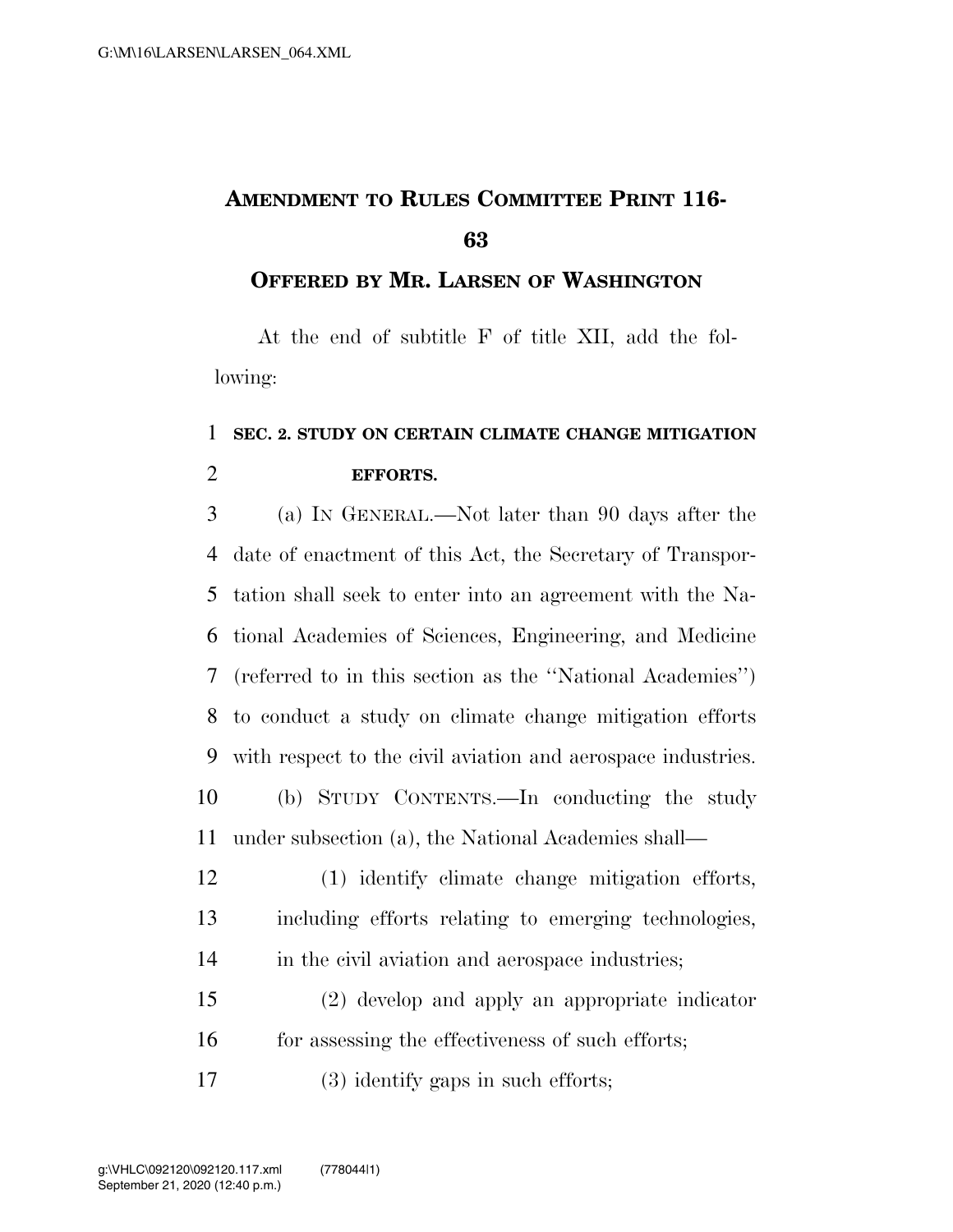## **AMENDMENT TO RULES COMMITTEE PRINT 116-**

## **OFFERED BY MR. LARSEN OF WASHINGTON**

At the end of subtitle F of title XII, add the following:

## **SEC. 2. STUDY ON CERTAIN CLIMATE CHANGE MITIGATION EFFORTS.**

 (a) IN GENERAL.—Not later than 90 days after the date of enactment of this Act, the Secretary of Transpor- tation shall seek to enter into an agreement with the Na- tional Academies of Sciences, Engineering, and Medicine (referred to in this section as the ''National Academies'') to conduct a study on climate change mitigation efforts with respect to the civil aviation and aerospace industries. (b) STUDY CONTENTS.—In conducting the study under subsection (a), the National Academies shall—

 (1) identify climate change mitigation efforts, including efforts relating to emerging technologies, 14 in the civil aviation and aerospace industries;

 (2) develop and apply an appropriate indicator 16 for assessing the effectiveness of such efforts;

(3) identify gaps in such efforts;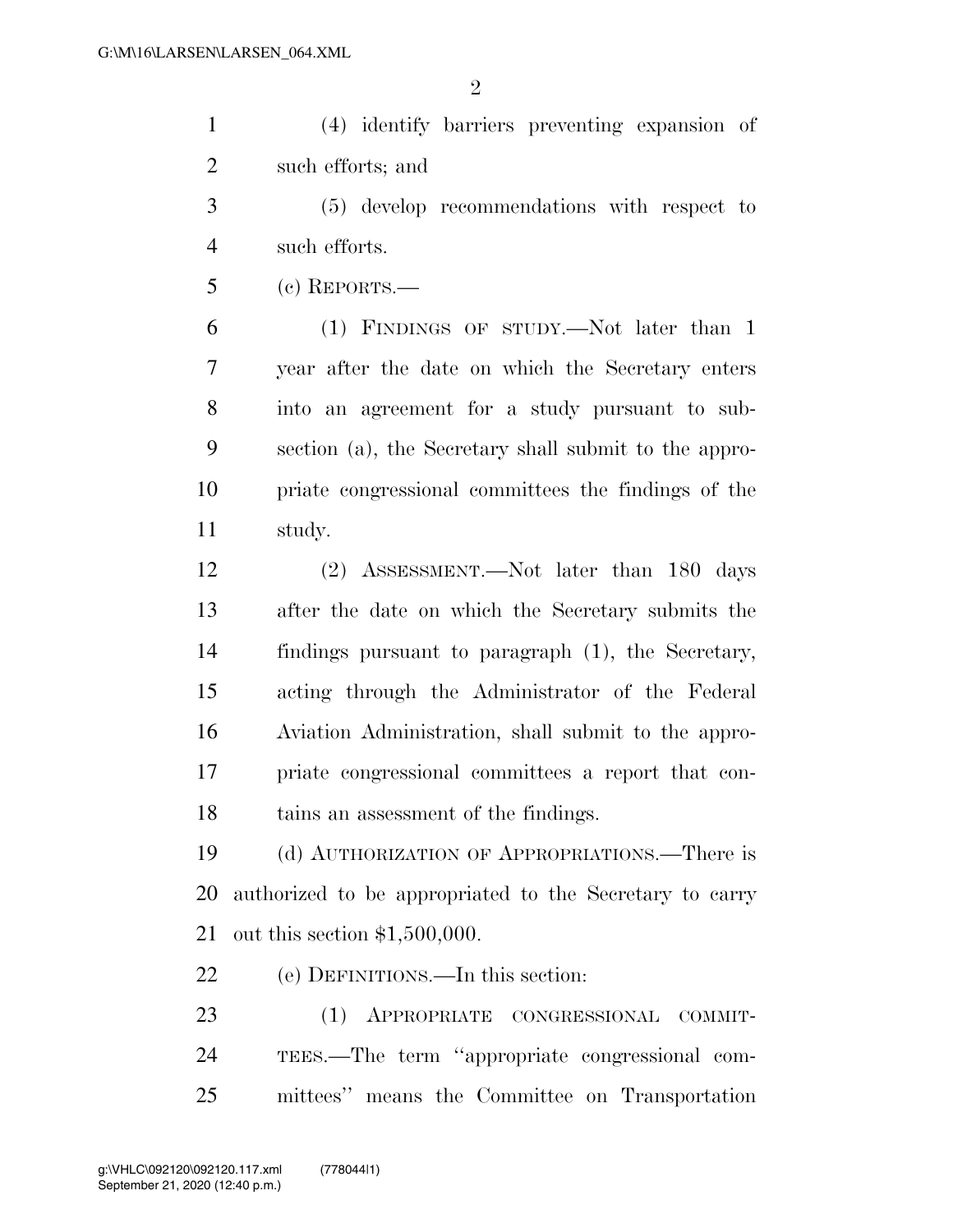$\mathfrak{D}$ 

 (4) identify barriers preventing expansion of such efforts; and

 (5) develop recommendations with respect to such efforts.

(c) REPORTS.—

 (1) FINDINGS OF STUDY.—Not later than 1 year after the date on which the Secretary enters into an agreement for a study pursuant to sub- section (a), the Secretary shall submit to the appro- priate congressional committees the findings of the study.

 (2) ASSESSMENT.—Not later than 180 days after the date on which the Secretary submits the findings pursuant to paragraph (1), the Secretary, acting through the Administrator of the Federal Aviation Administration, shall submit to the appro- priate congressional committees a report that con-tains an assessment of the findings.

 (d) AUTHORIZATION OF APPROPRIATIONS.—There is authorized to be appropriated to the Secretary to carry out this section \$1,500,000.

(e) DEFINITIONS.—In this section:

 (1) APPROPRIATE CONGRESSIONAL COMMIT- TEES.—The term ''appropriate congressional com-mittees'' means the Committee on Transportation